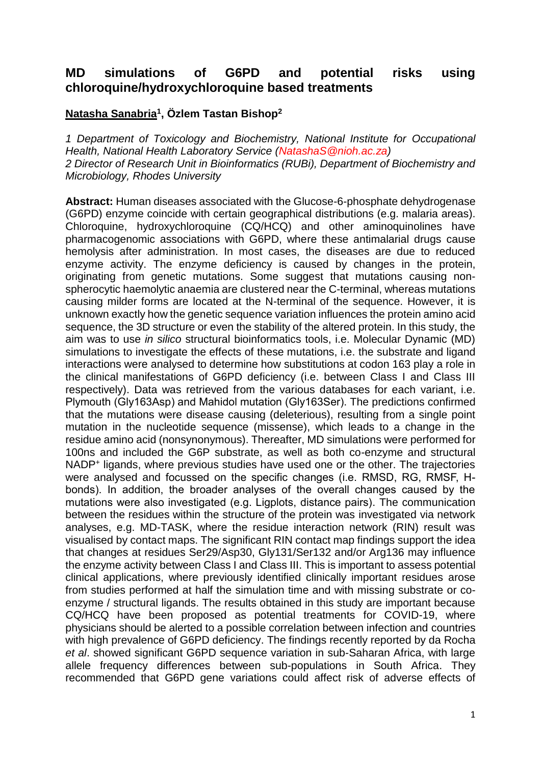## **MD simulations of G6PD and potential risks using chloroquine/hydroxychloroquine based treatments**

## **Natasha Sanabria<sup>1</sup> , Özlem Tastan Bishop<sup>2</sup>**

*1 Department of Toxicology and Biochemistry, National Institute for Occupational Health, National Health Laboratory Service (NatashaS@nioh.ac.za) 2 Director of Research Unit in Bioinformatics (RUBi), Department of Biochemistry and Microbiology, Rhodes University* 

**Abstract:** Human diseases associated with the Glucose-6-phosphate dehydrogenase (G6PD) enzyme coincide with certain geographical distributions (e.g. malaria areas). Chloroquine, hydroxychloroquine (CQ/HCQ) and other aminoquinolines have pharmacogenomic associations with G6PD, where these antimalarial drugs cause hemolysis after administration. In most cases, the diseases are due to reduced enzyme activity. The enzyme deficiency is caused by changes in the protein, originating from genetic mutations. Some suggest that mutations causing nonspherocytic haemolytic anaemia are clustered near the C-terminal, whereas mutations causing milder forms are located at the N-terminal of the sequence. However, it is unknown exactly how the genetic sequence variation influences the protein amino acid sequence, the 3D structure or even the stability of the altered protein. In this study, the aim was to use *in silico* structural bioinformatics tools, i.e. Molecular Dynamic (MD) simulations to investigate the effects of these mutations, i.e. the substrate and ligand interactions were analysed to determine how substitutions at codon 163 play a role in the clinical manifestations of G6PD deficiency (i.e. between Class I and Class III respectively). Data was retrieved from the various databases for each variant, i.e. Plymouth (Gly163Asp) and Mahidol mutation (Gly163Ser). The predictions confirmed that the mutations were disease causing (deleterious), resulting from a single point mutation in the nucleotide sequence (missense), which leads to a change in the residue amino acid (nonsynonymous). Thereafter, MD simulations were performed for 100ns and included the G6P substrate, as well as both co-enzyme and structural NADP<sup>+</sup> ligands, where previous studies have used one or the other. The trajectories were analysed and focussed on the specific changes (i.e. RMSD, RG, RMSF, Hbonds). In addition, the broader analyses of the overall changes caused by the mutations were also investigated (e.g. Ligplots, distance pairs). The communication between the residues within the structure of the protein was investigated via network analyses, e.g. MD-TASK, where the residue interaction network (RIN) result was visualised by contact maps. The significant RIN contact map findings support the idea that changes at residues Ser29/Asp30, Gly131/Ser132 and/or Arg136 may influence the enzyme activity between Class I and Class III. This is important to assess potential clinical applications, where previously identified clinically important residues arose from studies performed at half the simulation time and with missing substrate or coenzyme / structural ligands. The results obtained in this study are important because CQ/HCQ have been proposed as potential treatments for COVID-19, where physicians should be alerted to a possible correlation between infection and countries with high prevalence of G6PD deficiency. The findings recently reported by da Rocha *et al*. showed significant G6PD sequence variation in sub-Saharan Africa, with large allele frequency differences between sub-populations in South Africa. They recommended that G6PD gene variations could affect risk of adverse effects of